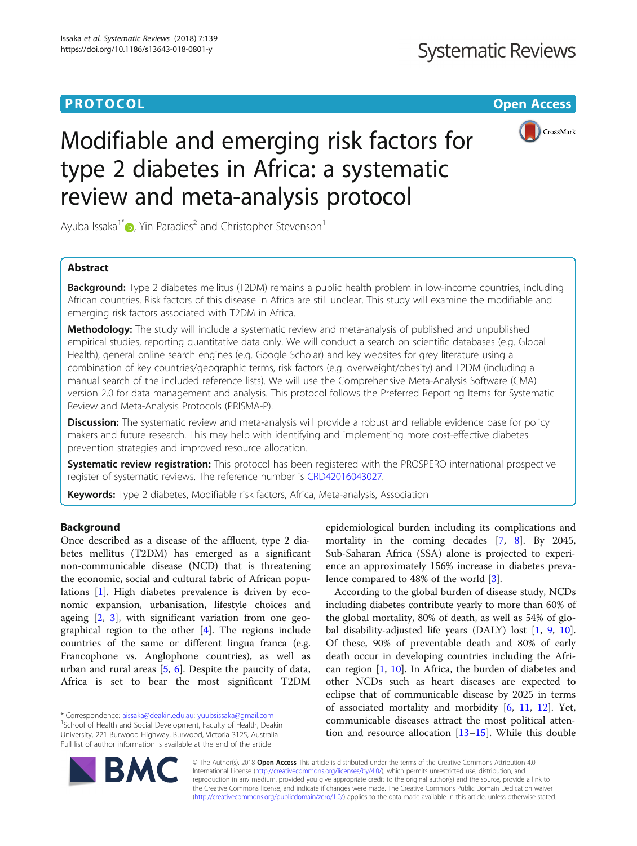# **PROTOCOL CONSUMING THE OPEN ACCESS**



# Modifiable and emerging risk factors for type 2 diabetes in Africa: a systematic review and meta-analysis protocol

Ayuba Issaka<sup>1\*</sup> $\bullet$ , Yin Paradies<sup>2</sup> and Christopher Stevenson<sup>1</sup>

# Abstract

**Background:** Type 2 diabetes mellitus (T2DM) remains a public health problem in low-income countries, including African countries. Risk factors of this disease in Africa are still unclear. This study will examine the modifiable and emerging risk factors associated with T2DM in Africa.

Methodology: The study will include a systematic review and meta-analysis of published and unpublished empirical studies, reporting quantitative data only. We will conduct a search on scientific databases (e.g. Global Health), general online search engines (e.g. Google Scholar) and key websites for grey literature using a combination of key countries/geographic terms, risk factors (e.g. overweight/obesity) and T2DM (including a manual search of the included reference lists). We will use the Comprehensive Meta-Analysis Software (CMA) version 2.0 for data management and analysis. This protocol follows the Preferred Reporting Items for Systematic Review and Meta-Analysis Protocols (PRISMA-P).

Discussion: The systematic review and meta-analysis will provide a robust and reliable evidence base for policy makers and future research. This may help with identifying and implementing more cost-effective diabetes prevention strategies and improved resource allocation.

Systematic review registration: This protocol has been registered with the PROSPERO international prospective register of systematic reviews. The reference number is [CRD42016043027](http://www.crd.york.ac.uk/PROSPERO/display_record.asp?ID=CRD42016043027).

Keywords: Type 2 diabetes, Modifiable risk factors, Africa, Meta-analysis, Association

# Background

Once described as a disease of the affluent, type 2 diabetes mellitus (T2DM) has emerged as a significant non-communicable disease (NCD) that is threatening the economic, social and cultural fabric of African populations [[1](#page-7-0)]. High diabetes prevalence is driven by economic expansion, urbanisation, lifestyle choices and ageing [[2,](#page-7-0) [3\]](#page-7-0), with significant variation from one geographical region to the other [\[4\]](#page-7-0). The regions include countries of the same or different lingua franca (e.g. Francophone vs. Anglophone countries), as well as urban and rural areas [[5,](#page-7-0) [6\]](#page-7-0). Despite the paucity of data, Africa is set to bear the most significant T2DM

epidemiological burden including its complications and mortality in the coming decades [\[7](#page-7-0), [8](#page-7-0)]. By 2045, Sub-Saharan Africa (SSA) alone is projected to experience an approximately 156% increase in diabetes prevalence compared to 48% of the world [[3](#page-7-0)].

According to the global burden of disease study, NCDs including diabetes contribute yearly to more than 60% of the global mortality, 80% of death, as well as 54% of global disability-adjusted life years (DALY) lost [\[1](#page-7-0), [9,](#page-7-0) [10](#page-7-0)]. Of these, 90% of preventable death and 80% of early death occur in developing countries including the African region  $[1, 10]$  $[1, 10]$  $[1, 10]$  $[1, 10]$  $[1, 10]$ . In Africa, the burden of diabetes and other NCDs such as heart diseases are expected to eclipse that of communicable disease by 2025 in terms of associated mortality and morbidity  $[6, 11, 12]$  $[6, 11, 12]$  $[6, 11, 12]$  $[6, 11, 12]$  $[6, 11, 12]$  $[6, 11, 12]$  $[6, 11, 12]$ . Yet, communicable diseases attract the most political attention and resource allocation [[13](#page-7-0)–[15\]](#page-7-0). While this double



© The Author(s). 2018 Open Access This article is distributed under the terms of the Creative Commons Attribution 4.0 International License [\(http://creativecommons.org/licenses/by/4.0/](http://creativecommons.org/licenses/by/4.0/)), which permits unrestricted use, distribution, and reproduction in any medium, provided you give appropriate credit to the original author(s) and the source, provide a link to the Creative Commons license, and indicate if changes were made. The Creative Commons Public Domain Dedication waiver [\(http://creativecommons.org/publicdomain/zero/1.0/](http://creativecommons.org/publicdomain/zero/1.0/)) applies to the data made available in this article, unless otherwise stated.

<sup>\*</sup> Correspondence: [aissaka@deakin.edu.au](mailto:aissaka@deakin.edu.au); [yuubsissaka@gmail.com](mailto:yuubsissaka@gmail.com) <sup>1</sup> <sup>1</sup>School of Health and Social Development, Faculty of Health, Deakin University, 221 Burwood Highway, Burwood, Victoria 3125, Australia Full list of author information is available at the end of the article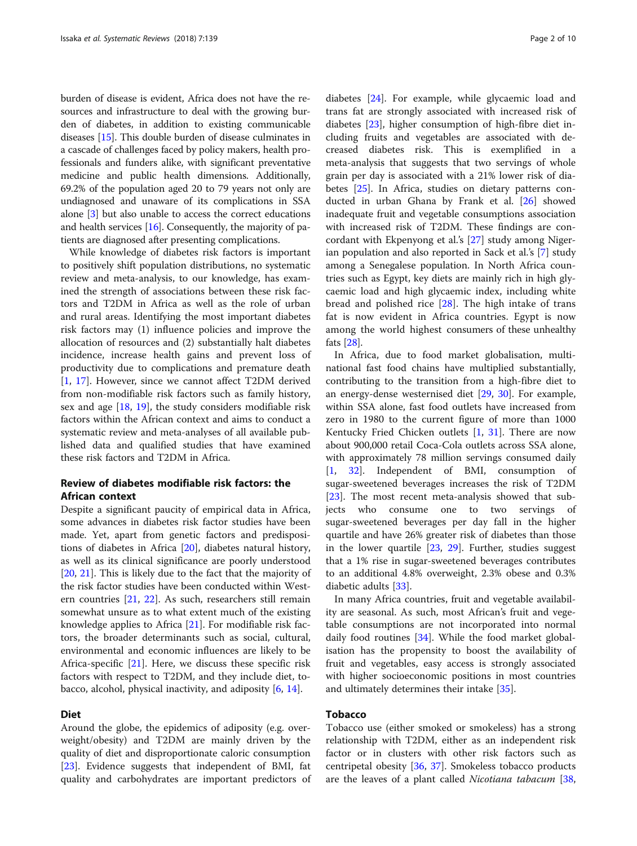burden of disease is evident, Africa does not have the resources and infrastructure to deal with the growing burden of diabetes, in addition to existing communicable diseases [\[15](#page-7-0)]. This double burden of disease culminates in a cascade of challenges faced by policy makers, health professionals and funders alike, with significant preventative medicine and public health dimensions. Additionally, 69.2% of the population aged 20 to 79 years not only are undiagnosed and unaware of its complications in SSA alone [\[3](#page-7-0)] but also unable to access the correct educations and health services [[16](#page-7-0)]. Consequently, the majority of patients are diagnosed after presenting complications.

While knowledge of diabetes risk factors is important to positively shift population distributions, no systematic review and meta-analysis, to our knowledge, has examined the strength of associations between these risk factors and T2DM in Africa as well as the role of urban and rural areas. Identifying the most important diabetes risk factors may (1) influence policies and improve the allocation of resources and (2) substantially halt diabetes incidence, increase health gains and prevent loss of productivity due to complications and premature death [[1,](#page-7-0) [17\]](#page-7-0). However, since we cannot affect T2DM derived from non-modifiable risk factors such as family history, sex and age  $[18, 19]$  $[18, 19]$  $[18, 19]$  $[18, 19]$ , the study considers modifiable risk factors within the African context and aims to conduct a systematic review and meta-analyses of all available published data and qualified studies that have examined these risk factors and T2DM in Africa.

# Review of diabetes modifiable risk factors: the African context

Despite a significant paucity of empirical data in Africa, some advances in diabetes risk factor studies have been made. Yet, apart from genetic factors and predispositions of diabetes in Africa [\[20](#page-7-0)], diabetes natural history, as well as its clinical significance are poorly understood [[20,](#page-7-0) [21\]](#page-7-0). This is likely due to the fact that the majority of the risk factor studies have been conducted within Western countries [[21,](#page-7-0) [22\]](#page-7-0). As such, researchers still remain somewhat unsure as to what extent much of the existing knowledge applies to Africa [[21](#page-7-0)]. For modifiable risk factors, the broader determinants such as social, cultural, environmental and economic influences are likely to be Africa-specific [[21](#page-7-0)]. Here, we discuss these specific risk factors with respect to T2DM, and they include diet, tobacco, alcohol, physical inactivity, and adiposity [\[6,](#page-7-0) [14\]](#page-7-0).

#### Diet

Around the globe, the epidemics of adiposity (e.g. overweight/obesity) and T2DM are mainly driven by the quality of diet and disproportionate caloric consumption [[23\]](#page-7-0). Evidence suggests that independent of BMI, fat quality and carbohydrates are important predictors of

diabetes [\[24](#page-7-0)]. For example, while glycaemic load and trans fat are strongly associated with increased risk of diabetes [[23\]](#page-7-0), higher consumption of high-fibre diet including fruits and vegetables are associated with decreased diabetes risk. This is exemplified in a meta-analysis that suggests that two servings of whole grain per day is associated with a 21% lower risk of diabetes [[25\]](#page-7-0). In Africa, studies on dietary patterns conducted in urban Ghana by Frank et al. [\[26](#page-8-0)] showed inadequate fruit and vegetable consumptions association with increased risk of T2DM. These findings are concordant with Ekpenyong et al.'s [\[27\]](#page-8-0) study among Nigerian population and also reported in Sack et al.'s [[7\]](#page-7-0) study among a Senegalese population. In North Africa countries such as Egypt, key diets are mainly rich in high glycaemic load and high glycaemic index, including white bread and polished rice [\[28](#page-8-0)]. The high intake of trans fat is now evident in Africa countries. Egypt is now among the world highest consumers of these unhealthy fats [\[28](#page-8-0)].

In Africa, due to food market globalisation, multinational fast food chains have multiplied substantially, contributing to the transition from a high-fibre diet to an energy-dense westernised diet [[29,](#page-8-0) [30\]](#page-8-0). For example, within SSA alone, fast food outlets have increased from zero in 1980 to the current figure of more than 1000 Kentucky Fried Chicken outlets [\[1](#page-7-0), [31\]](#page-8-0). There are now about 900,000 retail Coca-Cola outlets across SSA alone, with approximately 78 million servings consumed daily [[1,](#page-7-0) [32\]](#page-8-0). Independent of BMI, consumption of sugar-sweetened beverages increases the risk of T2DM [[23\]](#page-7-0). The most recent meta-analysis showed that subjects who consume one to two servings of sugar-sweetened beverages per day fall in the higher quartile and have 26% greater risk of diabetes than those in the lower quartile [[23,](#page-7-0) [29\]](#page-8-0). Further, studies suggest that a 1% rise in sugar-sweetened beverages contributes to an additional 4.8% overweight, 2.3% obese and 0.3% diabetic adults [\[33\]](#page-8-0).

In many Africa countries, fruit and vegetable availability are seasonal. As such, most African's fruit and vegetable consumptions are not incorporated into normal daily food routines [[34\]](#page-8-0). While the food market globalisation has the propensity to boost the availability of fruit and vegetables, easy access is strongly associated with higher socioeconomic positions in most countries and ultimately determines their intake [\[35](#page-8-0)].

## Tobacco

Tobacco use (either smoked or smokeless) has a strong relationship with T2DM, either as an independent risk factor or in clusters with other risk factors such as centripetal obesity [\[36,](#page-8-0) [37](#page-8-0)]. Smokeless tobacco products are the leaves of a plant called *Nicotiana tabacum* [[38](#page-8-0),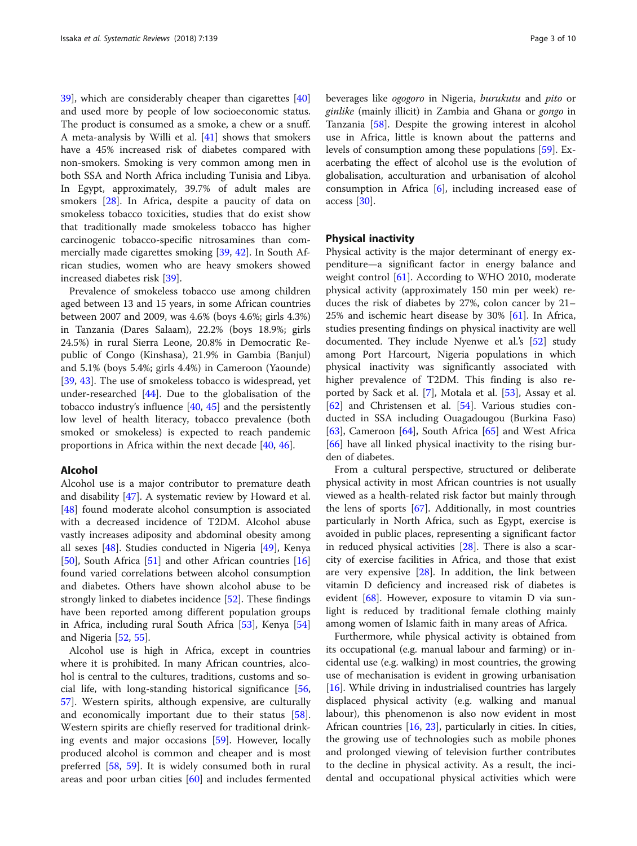[39\]](#page-8-0), which are considerably cheaper than cigarettes [[40](#page-8-0)] and used more by people of low socioeconomic status. The product is consumed as a smoke, a chew or a snuff. A meta-analysis by Willi et al. [\[41\]](#page-8-0) shows that smokers have a 45% increased risk of diabetes compared with non-smokers. Smoking is very common among men in both SSA and North Africa including Tunisia and Libya. In Egypt, approximately, 39.7% of adult males are smokers [[28\]](#page-8-0). In Africa, despite a paucity of data on smokeless tobacco toxicities, studies that do exist show that traditionally made smokeless tobacco has higher carcinogenic tobacco-specific nitrosamines than commercially made cigarettes smoking [[39,](#page-8-0) [42\]](#page-8-0). In South African studies, women who are heavy smokers showed increased diabetes risk [\[39\]](#page-8-0).

Prevalence of smokeless tobacco use among children aged between 13 and 15 years, in some African countries between 2007 and 2009, was 4.6% (boys 4.6%; girls 4.3%) in Tanzania (Dares Salaam), 22.2% (boys 18.9%; girls 24.5%) in rural Sierra Leone, 20.8% in Democratic Republic of Congo (Kinshasa), 21.9% in Gambia (Banjul) and 5.1% (boys 5.4%; girls 4.4%) in Cameroon (Yaounde) [[39,](#page-8-0) [43\]](#page-8-0). The use of smokeless tobacco is widespread, yet under-researched  $[44]$  $[44]$ . Due to the globalisation of the tobacco industry's influence [[40](#page-8-0), [45\]](#page-8-0) and the persistently low level of health literacy, tobacco prevalence (both smoked or smokeless) is expected to reach pandemic proportions in Africa within the next decade [\[40,](#page-8-0) [46\]](#page-8-0).

#### Alcohol

Alcohol use is a major contributor to premature death and disability [[47\]](#page-8-0). A systematic review by Howard et al. [[48\]](#page-8-0) found moderate alcohol consumption is associated with a decreased incidence of T2DM. Alcohol abuse vastly increases adiposity and abdominal obesity among all sexes [\[48](#page-8-0)]. Studies conducted in Nigeria [\[49](#page-8-0)], Kenya [[50\]](#page-8-0), South Africa [\[51\]](#page-8-0) and other African countries [[16](#page-7-0)] found varied correlations between alcohol consumption and diabetes. Others have shown alcohol abuse to be strongly linked to diabetes incidence [[52](#page-8-0)]. These findings have been reported among different population groups in Africa, including rural South Africa [[53\]](#page-8-0), Kenya [[54](#page-8-0)] and Nigeria [[52](#page-8-0), [55](#page-8-0)].

Alcohol use is high in Africa, except in countries where it is prohibited. In many African countries, alcohol is central to the cultures, traditions, customs and social life, with long-standing historical significance [[56](#page-8-0), [57\]](#page-8-0). Western spirits, although expensive, are culturally and economically important due to their status [\[58](#page-8-0)]. Western spirits are chiefly reserved for traditional drinking events and major occasions [\[59](#page-8-0)]. However, locally produced alcohol is common and cheaper and is most preferred [[58,](#page-8-0) [59\]](#page-8-0). It is widely consumed both in rural areas and poor urban cities [[60\]](#page-8-0) and includes fermented beverages like ogogoro in Nigeria, burukutu and pito or ginlike (mainly illicit) in Zambia and Ghana or gongo in Tanzania [\[58](#page-8-0)]. Despite the growing interest in alcohol use in Africa, little is known about the patterns and levels of consumption among these populations [[59](#page-8-0)]. Exacerbating the effect of alcohol use is the evolution of globalisation, acculturation and urbanisation of alcohol consumption in Africa [\[6](#page-7-0)], including increased ease of access [\[30\]](#page-8-0).

#### Physical inactivity

Physical activity is the major determinant of energy expenditure—a significant factor in energy balance and weight control [[61\]](#page-8-0). According to WHO 2010, moderate physical activity (approximately 150 min per week) reduces the risk of diabetes by 27%, colon cancer by 21– 25% and ischemic heart disease by 30% [\[61](#page-8-0)]. In Africa, studies presenting findings on physical inactivity are well documented. They include Nyenwe et al.'s [\[52](#page-8-0)] study among Port Harcourt, Nigeria populations in which physical inactivity was significantly associated with higher prevalence of T2DM. This finding is also reported by Sack et al. [\[7](#page-7-0)], Motala et al. [\[53\]](#page-8-0), Assay et al. [[62\]](#page-8-0) and Christensen et al. [\[54](#page-8-0)]. Various studies conducted in SSA including Ouagadougou (Burkina Faso) [[63\]](#page-8-0), Cameroon [\[64](#page-8-0)], South Africa [[65\]](#page-8-0) and West Africa [[66\]](#page-8-0) have all linked physical inactivity to the rising burden of diabetes.

From a cultural perspective, structured or deliberate physical activity in most African countries is not usually viewed as a health-related risk factor but mainly through the lens of sports  $[67]$  $[67]$ . Additionally, in most countries particularly in North Africa, such as Egypt, exercise is avoided in public places, representing a significant factor in reduced physical activities [[28\]](#page-8-0). There is also a scarcity of exercise facilities in Africa, and those that exist are very expensive  $[28]$  $[28]$ . In addition, the link between vitamin D deficiency and increased risk of diabetes is evident [\[68\]](#page-8-0). However, exposure to vitamin D via sunlight is reduced by traditional female clothing mainly among women of Islamic faith in many areas of Africa.

Furthermore, while physical activity is obtained from its occupational (e.g. manual labour and farming) or incidental use (e.g. walking) in most countries, the growing use of mechanisation is evident in growing urbanisation [[16\]](#page-7-0). While driving in industrialised countries has largely displaced physical activity (e.g. walking and manual labour), this phenomenon is also now evident in most African countries [[16](#page-7-0), [23\]](#page-7-0), particularly in cities. In cities, the growing use of technologies such as mobile phones and prolonged viewing of television further contributes to the decline in physical activity. As a result, the incidental and occupational physical activities which were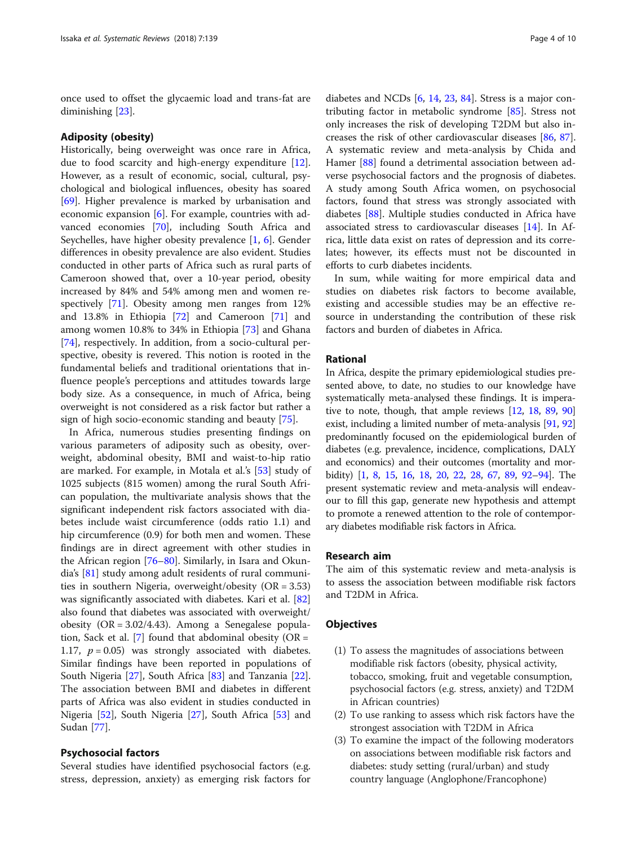once used to offset the glycaemic load and trans-fat are diminishing [\[23\]](#page-7-0).

#### Adiposity (obesity)

Historically, being overweight was once rare in Africa, due to food scarcity and high-energy expenditure [\[12](#page-7-0)]. However, as a result of economic, social, cultural, psychological and biological influences, obesity has soared [[69\]](#page-8-0). Higher prevalence is marked by urbanisation and economic expansion [[6](#page-7-0)]. For example, countries with advanced economies [[70](#page-8-0)], including South Africa and Seychelles, have higher obesity prevalence [\[1](#page-7-0), [6\]](#page-7-0). Gender differences in obesity prevalence are also evident. Studies conducted in other parts of Africa such as rural parts of Cameroon showed that, over a 10-year period, obesity increased by 84% and 54% among men and women respectively [[71](#page-8-0)]. Obesity among men ranges from 12% and 13.8% in Ethiopia [\[72](#page-8-0)] and Cameroon [[71](#page-8-0)] and among women 10.8% to 34% in Ethiopia [[73](#page-8-0)] and Ghana [[74\]](#page-8-0), respectively. In addition, from a socio-cultural perspective, obesity is revered. This notion is rooted in the fundamental beliefs and traditional orientations that influence people's perceptions and attitudes towards large body size. As a consequence, in much of Africa, being overweight is not considered as a risk factor but rather a sign of high socio-economic standing and beauty [[75](#page-8-0)].

In Africa, numerous studies presenting findings on various parameters of adiposity such as obesity, overweight, abdominal obesity, BMI and waist-to-hip ratio are marked. For example, in Motala et al.'s [[53\]](#page-8-0) study of 1025 subjects (815 women) among the rural South African population, the multivariate analysis shows that the significant independent risk factors associated with diabetes include waist circumference (odds ratio 1.1) and hip circumference (0.9) for both men and women. These findings are in direct agreement with other studies in the African region [[76](#page-9-0)–[80](#page-9-0)]. Similarly, in Isara and Okundia's [[81\]](#page-9-0) study among adult residents of rural communities in southern Nigeria, overweight/obesity (OR = 3.53) was significantly associated with diabetes. Kari et al. [[82](#page-9-0)] also found that diabetes was associated with overweight/ obesity  $(OR = 3.02/4.43)$ . Among a Senegalese popula-tion, Sack et al. [\[7](#page-7-0)] found that abdominal obesity ( $OR =$ 1.17,  $p = 0.05$ ) was strongly associated with diabetes. Similar findings have been reported in populations of South Nigeria [\[27](#page-8-0)], South Africa [[83](#page-9-0)] and Tanzania [\[22](#page-7-0)]. The association between BMI and diabetes in different parts of Africa was also evident in studies conducted in Nigeria [[52\]](#page-8-0), South Nigeria [[27](#page-8-0)], South Africa [\[53](#page-8-0)] and Sudan [\[77](#page-9-0)].

## Psychosocial factors

Several studies have identified psychosocial factors (e.g. stress, depression, anxiety) as emerging risk factors for

diabetes and NCDs [[6](#page-7-0), [14,](#page-7-0) [23,](#page-7-0) [84\]](#page-9-0). Stress is a major contributing factor in metabolic syndrome [\[85\]](#page-9-0). Stress not only increases the risk of developing T2DM but also increases the risk of other cardiovascular diseases [\[86](#page-9-0), [87](#page-9-0)]. A systematic review and meta-analysis by Chida and Hamer [\[88](#page-9-0)] found a detrimental association between adverse psychosocial factors and the prognosis of diabetes. A study among South Africa women, on psychosocial factors, found that stress was strongly associated with diabetes [[88](#page-9-0)]. Multiple studies conducted in Africa have associated stress to cardiovascular diseases [[14\]](#page-7-0). In Africa, little data exist on rates of depression and its correlates; however, its effects must not be discounted in efforts to curb diabetes incidents.

In sum, while waiting for more empirical data and studies on diabetes risk factors to become available, existing and accessible studies may be an effective resource in understanding the contribution of these risk factors and burden of diabetes in Africa.

## Rational

In Africa, despite the primary epidemiological studies presented above, to date, no studies to our knowledge have systematically meta-analysed these findings. It is imperative to note, though, that ample reviews [\[12](#page-7-0), [18,](#page-7-0) [89,](#page-9-0) [90](#page-9-0)] exist, including a limited number of meta-analysis [\[91,](#page-9-0) [92](#page-9-0)] predominantly focused on the epidemiological burden of diabetes (e.g. prevalence, incidence, complications, DALY and economics) and their outcomes (mortality and morbidity) [[1](#page-7-0), [8,](#page-7-0) [15,](#page-7-0) [16,](#page-7-0) [18,](#page-7-0) [20,](#page-7-0) [22,](#page-7-0) [28,](#page-8-0) [67,](#page-8-0) [89,](#page-9-0) [92](#page-9-0)–[94](#page-9-0)]. The present systematic review and meta-analysis will endeavour to fill this gap, generate new hypothesis and attempt to promote a renewed attention to the role of contemporary diabetes modifiable risk factors in Africa.

#### Research aim

The aim of this systematic review and meta-analysis is to assess the association between modifiable risk factors and T2DM in Africa.

#### **Objectives**

- (1) To assess the magnitudes of associations between modifiable risk factors (obesity, physical activity, tobacco, smoking, fruit and vegetable consumption, psychosocial factors (e.g. stress, anxiety) and T2DM in African countries)
- (2) To use ranking to assess which risk factors have the strongest association with T2DM in Africa
- (3) To examine the impact of the following moderators on associations between modifiable risk factors and diabetes: study setting (rural/urban) and study country language (Anglophone/Francophone)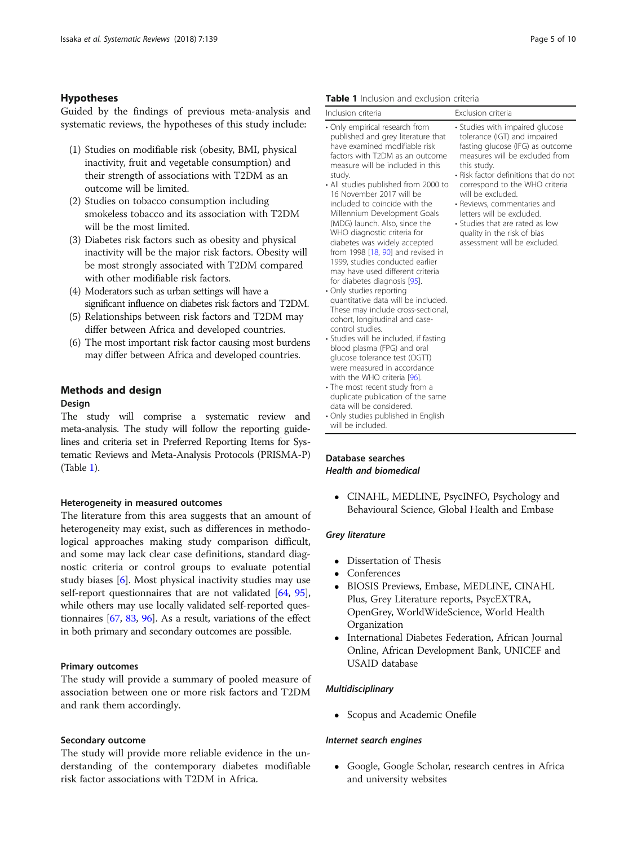# <span id="page-4-0"></span>Hypotheses

Guided by the findings of previous meta-analysis and systematic reviews, the hypotheses of this study include:

- (1) Studies on modifiable risk (obesity, BMI, physical inactivity, fruit and vegetable consumption) and their strength of associations with T2DM as an outcome will be limited.
- (2) Studies on tobacco consumption including smokeless tobacco and its association with T2DM will be the most limited.
- (3) Diabetes risk factors such as obesity and physical inactivity will be the major risk factors. Obesity will be most strongly associated with T2DM compared with other modifiable risk factors.
- (4) Moderators such as urban settings will have a significant influence on diabetes risk factors and T2DM.
- (5) Relationships between risk factors and T2DM may differ between Africa and developed countries.
- (6) The most important risk factor causing most burdens may differ between Africa and developed countries.

# Methods and design

#### Design

The study will comprise a systematic review and meta-analysis. The study will follow the reporting guidelines and criteria set in Preferred Reporting Items for Systematic Reviews and Meta-Analysis Protocols (PRISMA-P) (Table 1).

## Heterogeneity in measured outcomes

The literature from this area suggests that an amount of heterogeneity may exist, such as differences in methodological approaches making study comparison difficult, and some may lack clear case definitions, standard diagnostic criteria or control groups to evaluate potential study biases [\[6](#page-7-0)]. Most physical inactivity studies may use self-report questionnaires that are not validated [\[64,](#page-8-0) [95](#page-9-0)], while others may use locally validated self-reported questionnaires [[67](#page-8-0), [83](#page-9-0), [96](#page-9-0)]. As a result, variations of the effect in both primary and secondary outcomes are possible.

#### Primary outcomes

The study will provide a summary of pooled measure of association between one or more risk factors and T2DM and rank them accordingly.

#### Secondary outcome

The study will provide more reliable evidence in the understanding of the contemporary diabetes modifiable risk factor associations with T2DM in Africa.

#### Table 1 Inclusion and exclusion criteria

| Inclusion criteria                                                                                                                                                                                                                                                                                                                                                                                                                                                                                                                                                                                                                                                                                                                                                                                                                                                                                                                                                                                                                                                            | Exclusion criteria                                                                                                                                                                                                                                                                                                                                                                                                 |
|-------------------------------------------------------------------------------------------------------------------------------------------------------------------------------------------------------------------------------------------------------------------------------------------------------------------------------------------------------------------------------------------------------------------------------------------------------------------------------------------------------------------------------------------------------------------------------------------------------------------------------------------------------------------------------------------------------------------------------------------------------------------------------------------------------------------------------------------------------------------------------------------------------------------------------------------------------------------------------------------------------------------------------------------------------------------------------|--------------------------------------------------------------------------------------------------------------------------------------------------------------------------------------------------------------------------------------------------------------------------------------------------------------------------------------------------------------------------------------------------------------------|
| • Only empirical research from<br>published and grey literature that<br>have examined modifiable risk<br>factors with T2DM as an outcome<br>measure will be included in this<br>study.<br>• All studies published from 2000 to<br>16 November 2017 will be<br>included to coincide with the<br>Millennium Development Goals<br>(MDG) launch. Also, since the<br>WHO diagnostic criteria for<br>diabetes was widely accepted<br>from 1998 [18, 90] and revised in<br>1999, studies conducted earlier<br>may have used different criteria<br>for diabetes diagnosis [95].<br>• Only studies reporting<br>quantitative data will be included.<br>These may include cross-sectional,<br>cohort, longitudinal and case-<br>control studies.<br>• Studies will be included, if fasting<br>blood plasma (FPG) and oral<br>glucose tolerance test (OGTT)<br>were measured in accordance<br>with the WHO criteria [96].<br>• The most recent study from a<br>duplicate publication of the same<br>data will be considered.<br>• Only studies published in English<br>will be included. | • Studies with impaired glucose<br>tolerance (IGT) and impaired<br>fasting glucose (IFG) as outcome<br>measures will be excluded from<br>this study.<br>· Risk factor definitions that do not<br>correspond to the WHO criteria<br>will be excluded.<br>• Reviews, commentaries and<br>letters will be excluded.<br>• Studies that are rated as low<br>quality in the risk of bias<br>assessment will be excluded. |

# Database searches Health and biomedical

 CINAHL, MEDLINE, PsycINFO, Psychology and Behavioural Science, Global Health and Embase

#### Grey literature

- Dissertation of Thesis
- Conferences
- BIOSIS Previews, Embase, MEDLINE, CINAHL Plus, Grey Literature reports, PsycEXTRA, OpenGrey, WorldWideScience, World Health Organization
- International Diabetes Federation, African Journal Online, African Development Bank, UNICEF and USAID database

#### Multidisciplinary

• Scopus and Academic Onefile

#### Internet search engines

• Google, Google Scholar, research centres in Africa and university websites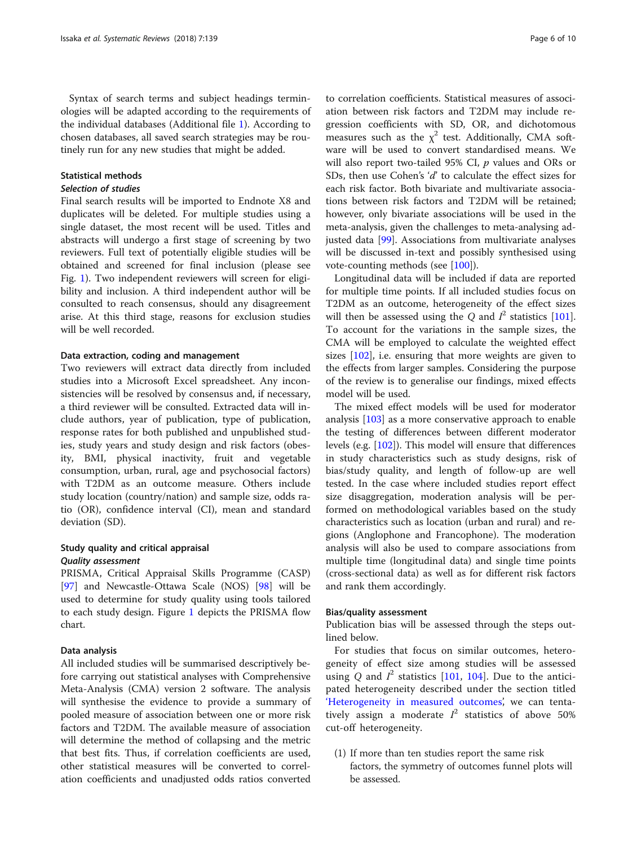Syntax of search terms and subject headings terminologies will be adapted according to the requirements of the individual databases (Additional file [1](#page-7-0)). According to chosen databases, all saved search strategies may be routinely run for any new studies that might be added.

# Statistical methods

#### Selection of studies

Final search results will be imported to Endnote X8 and duplicates will be deleted. For multiple studies using a single dataset, the most recent will be used. Titles and abstracts will undergo a first stage of screening by two reviewers. Full text of potentially eligible studies will be obtained and screened for final inclusion (please see Fig. [1\)](#page-6-0). Two independent reviewers will screen for eligibility and inclusion. A third independent author will be consulted to reach consensus, should any disagreement arise. At this third stage, reasons for exclusion studies will be well recorded.

# Data extraction, coding and management

Two reviewers will extract data directly from included studies into a Microsoft Excel spreadsheet. Any inconsistencies will be resolved by consensus and, if necessary, a third reviewer will be consulted. Extracted data will include authors, year of publication, type of publication, response rates for both published and unpublished studies, study years and study design and risk factors (obesity, BMI, physical inactivity, fruit and vegetable consumption, urban, rural, age and psychosocial factors) with T2DM as an outcome measure. Others include study location (country/nation) and sample size, odds ratio (OR), confidence interval (CI), mean and standard deviation (SD).

# Study quality and critical appraisal Quality assessment

PRISMA, Critical Appraisal Skills Programme (CASP) [[97\]](#page-9-0) and Newcastle-Ottawa Scale (NOS) [[98\]](#page-9-0) will be used to determine for study quality using tools tailored to each study design. Figure [1](#page-6-0) depicts the PRISMA flow chart.

#### Data analysis

All included studies will be summarised descriptively before carrying out statistical analyses with Comprehensive Meta-Analysis (CMA) version 2 software. The analysis will synthesise the evidence to provide a summary of pooled measure of association between one or more risk factors and T2DM. The available measure of association will determine the method of collapsing and the metric that best fits. Thus, if correlation coefficients are used, other statistical measures will be converted to correlation coefficients and unadjusted odds ratios converted

to correlation coefficients. Statistical measures of association between risk factors and T2DM may include regression coefficients with SD, OR, and dichotomous measures such as the  $\chi^2$  test. Additionally, CMA software will be used to convert standardised means. We will also report two-tailed 95% CI,  $p$  values and ORs or SDs, then use Cohen's 'd' to calculate the effect sizes for each risk factor. Both bivariate and multivariate associations between risk factors and T2DM will be retained; however, only bivariate associations will be used in the meta-analysis, given the challenges to meta-analysing adjusted data [\[99](#page-9-0)]. Associations from multivariate analyses will be discussed in-text and possibly synthesised using vote-counting methods (see [[100](#page-9-0)]).

Longitudinal data will be included if data are reported for multiple time points. If all included studies focus on T2DM as an outcome, heterogeneity of the effect sizes will then be assessed using the Q and  $I^2$  statistics [[101](#page-9-0)]. To account for the variations in the sample sizes, the CMA will be employed to calculate the weighted effect sizes [[102](#page-9-0)], i.e. ensuring that more weights are given to the effects from larger samples. Considering the purpose of the review is to generalise our findings, mixed effects model will be used.

The mixed effect models will be used for moderator analysis [\[103\]](#page-9-0) as a more conservative approach to enable the testing of differences between different moderator levels (e.g. [[102](#page-9-0)]). This model will ensure that differences in study characteristics such as study designs, risk of bias/study quality, and length of follow-up are well tested. In the case where included studies report effect size disaggregation, moderation analysis will be performed on methodological variables based on the study characteristics such as location (urban and rural) and regions (Anglophone and Francophone). The moderation analysis will also be used to compare associations from multiple time (longitudinal data) and single time points (cross-sectional data) as well as for different risk factors and rank them accordingly.

#### Bias/quality assessment

Publication bias will be assessed through the steps outlined below.

For studies that focus on similar outcomes, heterogeneity of effect size among studies will be assessed using Q and  $I^2$  statistics [\[101](#page-9-0), [104\]](#page-9-0). Due to the anticipated heterogeneity described under the section titled '[Heterogeneity in measured outcomes](#page-4-0)', we can tentatively assign a moderate  $I^2$  statistics of above 50% cut-off heterogeneity.

(1) If more than ten studies report the same risk factors, the symmetry of outcomes funnel plots will be assessed.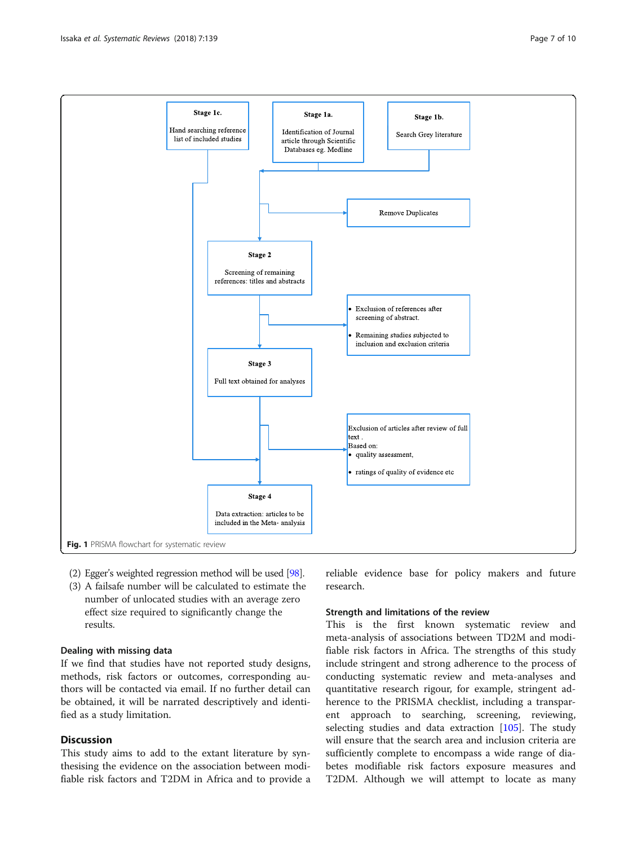<span id="page-6-0"></span>

- (2) Egger's weighted regression method will be used [[98](#page-9-0)].
- (3) A failsafe number will be calculated to estimate the number of unlocated studies with an average zero effect size required to significantly change the results.

# Dealing with missing data

If we find that studies have not reported study designs, methods, risk factors or outcomes, corresponding authors will be contacted via email. If no further detail can be obtained, it will be narrated descriptively and identified as a study limitation.

# **Discussion**

This study aims to add to the extant literature by synthesising the evidence on the association between modifiable risk factors and T2DM in Africa and to provide a reliable evidence base for policy makers and future research.

# Strength and limitations of the review

This is the first known systematic review and meta-analysis of associations between TD2M and modifiable risk factors in Africa. The strengths of this study include stringent and strong adherence to the process of conducting systematic review and meta-analyses and quantitative research rigour, for example, stringent adherence to the PRISMA checklist, including a transparent approach to searching, screening, reviewing, selecting studies and data extraction [\[105](#page-9-0)]. The study will ensure that the search area and inclusion criteria are sufficiently complete to encompass a wide range of diabetes modifiable risk factors exposure measures and T2DM. Although we will attempt to locate as many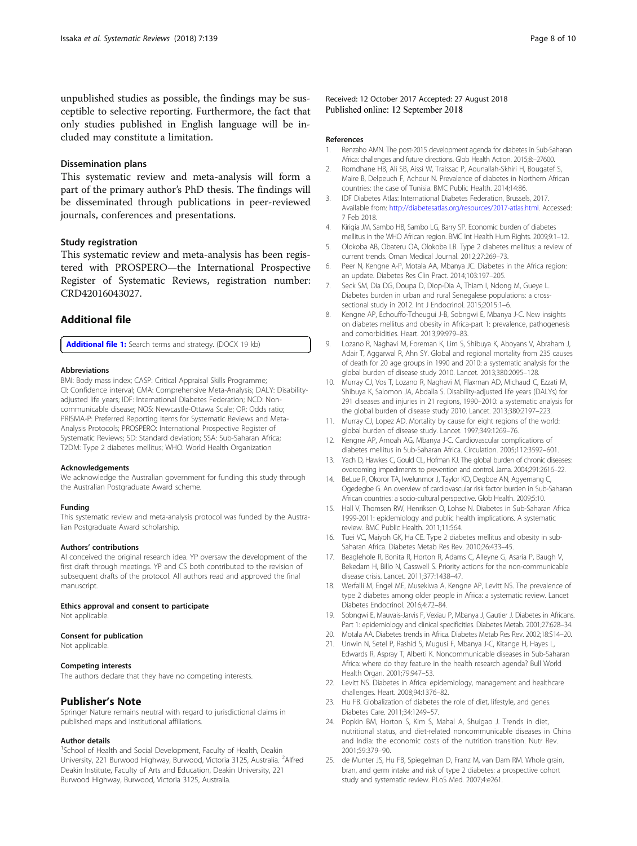<span id="page-7-0"></span>unpublished studies as possible, the findings may be susceptible to selective reporting. Furthermore, the fact that only studies published in English language will be included may constitute a limitation.

#### Dissemination plans

This systematic review and meta-analysis will form a part of the primary author's PhD thesis. The findings will be disseminated through publications in peer-reviewed journals, conferences and presentations.

#### Study registration

This systematic review and meta-analysis has been registered with PROSPERO—the International Prospective Register of Systematic Reviews, registration number: CRD42016043027.

# Additional file

[Additional file 1:](https://doi.org/10.1186/s13643-018-0801-y) Search terms and strategy. (DOCX 19 kb)

#### Abbreviations

BMI: Body mass index; CASP: Critical Appraisal Skills Programme; CI: Confidence interval; CMA: Comprehensive Meta-Analysis; DALY: Disabilityadjusted life years; IDF: International Diabetes Federation; NCD: Noncommunicable disease; NOS: Newcastle-Ottawa Scale; OR: Odds ratio; PRISMA-P: Preferred Reporting Items for Systematic Reviews and Meta-Analysis Protocols; PROSPERO: International Prospective Register of Systematic Reviews; SD: Standard deviation; SSA: Sub-Saharan Africa; T2DM: Type 2 diabetes mellitus; WHO: World Health Organization

#### Acknowledgements

We acknowledge the Australian government for funding this study through the Australian Postgraduate Award scheme.

#### Funding

This systematic review and meta-analysis protocol was funded by the Australian Postgraduate Award scholarship.

#### Authors' contributions

AI conceived the original research idea. YP oversaw the development of the first draft through meetings. YP and CS both contributed to the revision of subsequent drafts of the protocol. All authors read and approved the final manuscript.

#### Ethics approval and consent to participate

Not applicable.

#### Consent for publication

Not applicable.

#### Competing interests

The authors declare that they have no competing interests.

## Publisher's Note

Springer Nature remains neutral with regard to jurisdictional claims in published maps and institutional affiliations.

#### Author details

<sup>1</sup>School of Health and Social Development, Faculty of Health, Deakin University, 221 Burwood Highway, Burwood, Victoria 3125, Australia. <sup>2</sup>Alfred Deakin Institute, Faculty of Arts and Education, Deakin University, 221 Burwood Highway, Burwood, Victoria 3125, Australia.

Received: 12 October 2017 Accepted: 27 August 2018 Published online: 12 September 2018

#### References

- 1. Renzaho AMN. The post-2015 development agenda for diabetes in Sub-Saharan Africa: challenges and future directions. Glob Health Action. 2015;8:–27600.
- 2. Romdhane HB, Ali SB, Aissi W, Traissac P, Aounallah-Skhiri H, Bougatef S, Maire B, Delpeuch F, Achour N. Prevalence of diabetes in Northern African countries: the case of Tunisia. BMC Public Health. 2014;14:86.
- 3. IDF Diabetes Atlas: International Diabetes Federation, Brussels, 2017. Available from: <http://diabetesatlas.org/resources/2017-atlas.html>. Accessed: 7 Feb 2018.
- 4. Kirigia JM, Sambo HB, Sambo LG, Barry SP. Economic burden of diabetes mellitus in the WHO African region. BMC Int Health Hum Rights. 2009;9:1–12.
- 5. Olokoba AB, Obateru OA, Olokoba LB. Type 2 diabetes mellitus: a review of current trends. Oman Medical Journal. 2012;27:269–73.
- 6. Peer N, Kengne A-P, Motala AA, Mbanya JC. Diabetes in the Africa region: an update. Diabetes Res Clin Pract. 2014;103:197–205.
- 7. Seck SM, Dia DG, Doupa D, Diop-Dia A, Thiam I, Ndong M, Gueye L. Diabetes burden in urban and rural Senegalese populations: a crosssectional study in 2012. Int J Endocrinol. 2015;2015:1–6.
- 8. Kengne AP, Echouffo-Tcheugui J-B, Sobngwi E, Mbanya J-C. New insights on diabetes mellitus and obesity in Africa-part 1: prevalence, pathogenesis and comorbidities. Heart. 2013;99:979–83.
- 9. Lozano R, Naghavi M, Foreman K, Lim S, Shibuya K, Aboyans V, Abraham J, Adair T, Aggarwal R, Ahn SY. Global and regional mortality from 235 causes of death for 20 age groups in 1990 and 2010: a systematic analysis for the global burden of disease study 2010. Lancet. 2013;380:2095–128.
- 10. Murray CJ, Vos T, Lozano R, Naghavi M, Flaxman AD, Michaud C, Ezzati M, Shibuya K, Salomon JA, Abdalla S. Disability-adjusted life years (DALYs) for 291 diseases and injuries in 21 regions, 1990–2010: a systematic analysis for the global burden of disease study 2010. Lancet. 2013;380:2197–223.
- 11. Murray CJ, Lopez AD. Mortality by cause for eight regions of the world: global burden of disease study. Lancet. 1997;349:1269–76.
- 12. Kengne AP, Amoah AG, Mbanya J-C. Cardiovascular complications of diabetes mellitus in Sub-Saharan Africa. Circulation. 2005;112:3592–601.
- 13. Yach D, Hawkes C, Gould CL, Hofman KJ. The global burden of chronic diseases: overcoming impediments to prevention and control. Jama. 2004;291:2616–22.
- 14. BeLue R, Okoror TA, Iwelunmor J, Taylor KD, Degboe AN, Agyemang C, Ogedegbe G. An overview of cardiovascular risk factor burden in Sub-Saharan African countries: a socio-cultural perspective. Glob Health. 2009;5:10.
- 15. Hall V, Thomsen RW, Henriksen O, Lohse N. Diabetes in Sub-Saharan Africa 1999-2011: epidemiology and public health implications. A systematic review. BMC Public Health. 2011;11:564.
- 16. Tuei VC, Maiyoh GK, Ha CE. Type 2 diabetes mellitus and obesity in sub-Saharan Africa. Diabetes Metab Res Rev. 2010;26:433–45.
- 17. Beaglehole R, Bonita R, Horton R, Adams C, Alleyne G, Asaria P, Baugh V, Bekedam H, Billo N, Casswell S. Priority actions for the non-communicable disease crisis. Lancet. 2011;377:1438–47.
- 18. Werfalli M, Engel ME, Musekiwa A, Kengne AP, Levitt NS. The prevalence of type 2 diabetes among older people in Africa: a systematic review. Lancet Diabetes Endocrinol. 2016;4:72–84.
- 19. Sobngwi E, Mauvais-Jarvis F, Vexiau P, Mbanya J, Gautier J. Diabetes in Africans. Part 1: epidemiology and clinical specificities. Diabetes Metab. 2001;27:628–34.
- 20. Motala AA. Diabetes trends in Africa. Diabetes Metab Res Rev. 2002;18:S14–20.
- 21. Unwin N, Setel P, Rashid S, Mugusi F, Mbanya J-C, Kitange H, Hayes L, Edwards R, Aspray T, Alberti K. Noncommunicable diseases in Sub-Saharan Africa: where do they feature in the health research agenda? Bull World Health Organ. 2001;79:947–53.
- 22. Levitt NS. Diabetes in Africa: epidemiology, management and healthcare challenges. Heart. 2008;94:1376–82.
- 23. Hu FB. Globalization of diabetes the role of diet, lifestyle, and genes. Diabetes Care. 2011;34:1249–57.
- 24. Popkin BM, Horton S, Kim S, Mahal A, Shuigao J. Trends in diet, nutritional status, and diet-related noncommunicable diseases in China and India: the economic costs of the nutrition transition. Nutr Rev. 2001;59:379–90.
- 25. de Munter JS, Hu FB, Spiegelman D, Franz M, van Dam RM. Whole grain, bran, and germ intake and risk of type 2 diabetes: a prospective cohort study and systematic review. PLoS Med. 2007;4:e261.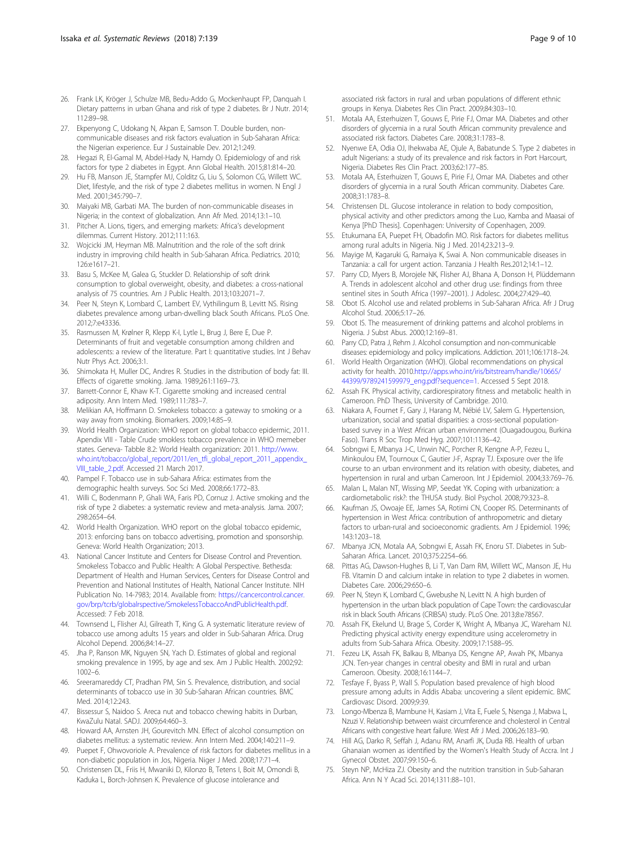- <span id="page-8-0"></span>26. Frank LK, Kröger J, Schulze MB, Bedu-Addo G, Mockenhaupt FP, Danquah I. Dietary patterns in urban Ghana and risk of type 2 diabetes. Br J Nutr. 2014; 112:89–98.
- 27. Ekpenyong C, Udokang N, Akpan E, Samson T. Double burden, noncommunicable diseases and risk factors evaluation in Sub-Saharan Africa: the Nigerian experience. Eur J Sustainable Dev. 2012;1:249.
- 28. Hegazi R, El-Gamal M, Abdel-Hady N, Hamdy O. Epidemiology of and risk factors for type 2 diabetes in Egypt. Ann Global Health. 2015;81:814–20.
- 29. Hu FB, Manson JE, Stampfer MJ, Colditz G, Liu S, Solomon CG, Willett WC. Diet, lifestyle, and the risk of type 2 diabetes mellitus in women. N Engl J Med. 2001;345:790–7.
- 30. Maiyaki MB, Garbati MA. The burden of non-communicable diseases in Nigeria; in the context of globalization. Ann Afr Med. 2014;13:1–10.
- 31. Pitcher A. Lions, tigers, and emerging markets: Africa's development dilemmas. Current History. 2012;111:163.
- 32. Wojcicki JM, Heyman MB. Malnutrition and the role of the soft drink industry in improving child health in Sub-Saharan Africa. Pediatrics. 2010; 126:e1617–21.
- 33. Basu S, McKee M, Galea G, Stuckler D. Relationship of soft drink consumption to global overweight, obesity, and diabetes: a cross-national analysis of 75 countries. Am J Public Health. 2013;103:2071–7.
- 34. Peer N, Steyn K, Lombard C, Lambert EV, Vythilingum B, Levitt NS. Rising diabetes prevalence among urban-dwelling black South Africans. PLoS One. 2012;7:e43336.
- Rasmussen M, Krølner R, Klepp K-I, Lytle L, Brug J, Bere E, Due P. Determinants of fruit and vegetable consumption among children and adolescents: a review of the literature. Part I: quantitative studies. Int J Behav Nutr Phys Act. 2006;3:1.
- 36. Shimokata H, Muller DC, Andres R. Studies in the distribution of body fat: III. Effects of cigarette smoking. Jama. 1989;261:1169–73.
- 37. Barrett-Connor E, Khaw K-T. Cigarette smoking and increased central adiposity. Ann Intern Med. 1989;111:783–7.
- 38. Melikian AA, Hoffmann D. Smokeless tobacco: a gateway to smoking or a way away from smoking. Biomarkers. 2009;14:85–9.
- 39. World Health Organization: WHO report on global tobacco epidermic, 2011. Apendix VIII - Table Crude smokless tobacco prevalence in WHO memeber states. Geneva- Tabble 8.2: World Health organization: 2011. [http://www.](http://www.who.int/tobacco/global_report/2011/en_tfi_global_report_2011_appendix_VIII_table_2.pdf) [who.int/tobacco/global\\_report/2011/en\\_tfi\\_global\\_report\\_2011\\_appendix\\_](http://www.who.int/tobacco/global_report/2011/en_tfi_global_report_2011_appendix_VIII_table_2.pdf) [VIII\\_table\\_2.pdf](http://www.who.int/tobacco/global_report/2011/en_tfi_global_report_2011_appendix_VIII_table_2.pdf). Accessed 21 March 2017.
- 40. Pampel F. Tobacco use in sub-Sahara Africa: estimates from the demographic health surveys. Soc Sci Med. 2008;66:1772–83.
- 41. Willi C, Bodenmann P, Ghali WA, Faris PD, Cornuz J. Active smoking and the risk of type 2 diabetes: a systematic review and meta-analysis. Jama. 2007; 298:2654–64.
- 42. World Health Organization. WHO report on the global tobacco epidemic, 2013: enforcing bans on tobacco advertising, promotion and sponsorship. Geneva: World Health Organization; 2013.
- 43. National Cancer Institute and Centers for Disease Control and Prevention. Smokeless Tobacco and Public Health: A Global Perspective. Bethesda: Department of Health and Human Services, Centers for Disease Control and Prevention and National Institutes of Health, National Cancer Institute. NIH Publication No. 14-7983; 2014. Available from: [https://cancercontrol.cancer.](https://cancercontrol.cancer.gov/brp/tcrb/globalrspective/SmokelessTobaccoAndPublicHealth.pdf) [gov/brp/tcrb/globalrspective/SmokelessTobaccoAndPublicHealth.pdf.](https://cancercontrol.cancer.gov/brp/tcrb/globalrspective/SmokelessTobaccoAndPublicHealth.pdf) Accessed: 7 Feb 2018.
- 44. Townsend L, Flisher AJ, Gilreath T, King G. A systematic literature review of tobacco use among adults 15 years and older in Sub-Saharan Africa. Drug Alcohol Depend. 2006;84:14–27.
- 45. Jha P, Ranson MK, Nguyen SN, Yach D. Estimates of global and regional smoking prevalence in 1995, by age and sex. Am J Public Health. 2002;92: 1002–6.
- 46. Sreeramareddy CT, Pradhan PM, Sin S. Prevalence, distribution, and social determinants of tobacco use in 30 Sub-Saharan African countries. BMC Med. 2014;12:243.
- 47. Bissessur S, Naidoo S. Areca nut and tobacco chewing habits in Durban, KwaZulu Natal. SADJ. 2009;64:460–3.
- 48. Howard AA, Arnsten JH, Gourevitch MN. Effect of alcohol consumption on diabetes mellitus: a systematic review. Ann Intern Med. 2004;140:211–9.
- 49. Puepet F, Ohwovoriole A. Prevalence of risk factors for diabetes mellitus in a non-diabetic population in Jos, Nigeria. Niger J Med. 2008;17:71–4.
- 50. Christensen DL, Friis H, Mwaniki D, Kilonzo B, Tetens I, Boit M, Omondi B, Kaduka L, Borch-Johnsen K. Prevalence of glucose intolerance and

associated risk factors in rural and urban populations of different ethnic groups in Kenya. Diabetes Res Clin Pract. 2009;84:303–10.

- 51. Motala AA, Esterhuizen T, Gouws E, Pirie FJ, Omar MA. Diabetes and other disorders of glycemia in a rural South African community prevalence and associated risk factors. Diabetes Care. 2008;31:1783–8.
- 52. Nyenwe EA, Odia OJ, Ihekwaba AE, Ojule A, Babatunde S. Type 2 diabetes in adult Nigerians: a study of its prevalence and risk factors in Port Harcourt, Nigeria. Diabetes Res Clin Pract. 2003;62:177–85.
- 53. Motala AA, Esterhuizen T, Gouws E, Pirie FJ, Omar MA. Diabetes and other disorders of glycemia in a rural South African community. Diabetes Care. 2008;31:1783–8.
- 54. Christensen DL. Glucose intolerance in relation to body composition, physical activity and other predictors among the Luo, Kamba and Maasai of Kenya [PhD Thesis]. Copenhagen: University of Copenhagen, 2009.
- 55. Etukumana EA, Puepet FH, Obadofin MO. Risk factors for diabetes mellitus among rural adults in Nigeria. Nig J Med. 2014;23:213–9.
- 56. Mayige M, Kagaruki G, Ramaiya K, Swai A. Non communicable diseases in Tanzania: a call for urgent action. Tanzania J Health Res.2012;14:1–12.
- 57. Parry CD, Myers B, Morojele NK, Flisher AJ, Bhana A, Donson H, Plüddemann A. Trends in adolescent alcohol and other drug use: findings from three sentinel sites in South Africa (1997–2001). J Adolesc. 2004;27:429–40.
- 58. Obot IS. Alcohol use and related problems in Sub-Saharan Africa. Afr J Drug Alcohol Stud. 2006;5:17–26.
- 59. Obot IS. The measurement of drinking patterns and alcohol problems in Nigeria. J Subst Abus. 2000;12:169–81.
- 60. Parry CD, Patra J, Rehm J. Alcohol consumption and non-communicable diseases: epidemiology and policy implications. Addiction. 2011;106:1718–24.
- 61. World Health Organization (WHO). Global recommendations on physical activity for health. 2010.[http://apps.who.int/iris/bitstream/handle/10665/](http://apps.who.int/iris/bitstream/handle/10665/44399/9789241599979_eng.pdf?sequence=1) [44399/9789241599979\\_eng.pdf?sequence=1.](http://apps.who.int/iris/bitstream/handle/10665/44399/9789241599979_eng.pdf?sequence=1) Accessed 5 Sept 2018.
- 62. Assah FK. Physical activity, cardiorespiratory fitness and metabolic health in Cameroon. PhD Thesis, University of Cambridge. 2010.
- 63. Niakara A, Fournet F, Gary J, Harang M, Nébié LV, Salem G. Hypertension, urbanization, social and spatial disparities: a cross-sectional populationbased survey in a West African urban environment (Ouagadougou, Burkina Faso). Trans R Soc Trop Med Hyg. 2007;101:1136–42.
- 64. Sobngwi E, Mbanya J-C, Unwin NC, Porcher R, Kengne A-P, Fezeu L, Minkoulou EM, Tournoux C, Gautier J-F, Aspray TJ. Exposure over the life course to an urban environment and its relation with obesity, diabetes, and hypertension in rural and urban Cameroon. Int J Epidemiol. 2004;33:769–76.
- 65. Malan L, Malan NT, Wissing MP, Seedat YK. Coping with urbanization: a cardiometabolic risk?: the THUSA study. Biol Psychol. 2008;79:323–8.
- 66. Kaufman JS, Owoaje EE, James SA, Rotimi CN, Cooper RS. Determinants of hypertension in West Africa: contribution of anthropometric and dietary factors to urban-rural and socioeconomic gradients. Am J Epidemiol. 1996; 143:1203–18.
- 67. Mbanya JCN, Motala AA, Sobngwi E, Assah FK, Enoru ST. Diabetes in Sub-Saharan Africa. Lancet. 2010;375:2254–66.
- 68. Pittas AG, Dawson-Hughes B, Li T, Van Dam RM, Willett WC, Manson JE, Hu FB. Vitamin D and calcium intake in relation to type 2 diabetes in women. Diabetes Care. 2006;29:650–6.
- 69. Peer N, Steyn K, Lombard C, Gwebushe N, Levitt N. A high burden of hypertension in the urban black population of Cape Town: the cardiovascular risk in black South Africans (CRIBSA) study. PLoS One. 2013;8:e78567.
- 70. Assah FK, Ekelund U, Brage S, Corder K, Wright A, Mbanya JC, Wareham NJ. Predicting physical activity energy expenditure using accelerometry in adults from Sub-Sahara Africa. Obesity. 2009;17:1588–95.
- 71. Fezeu LK, Assah FK, Balkau B, Mbanya DS, Kengne AP, Awah PK, Mbanya JCN. Ten-year changes in central obesity and BMI in rural and urban Cameroon. Obesity. 2008;16:1144–7.
- 72. Tesfaye F, Byass P, Wall S. Population based prevalence of high blood pressure among adults in Addis Ababa: uncovering a silent epidemic. BMC Cardiovasc Disord. 2009;9:39.
- 73. Longo-Mbenza B, Mambune H, Kasiam J, Vita E, Fuele S, Nsenga J, Mabwa L, Nzuzi V. Relationship between waist circumference and cholesterol in Central Africans with congestive heart failure. West Afr J Med. 2006;26:183–90.
- 74. Hill AG, Darko R, Seffah J, Adanu RM, Anarfi JK, Duda RB. Health of urban Ghanaian women as identified by the Women's Health Study of Accra. Int J Gynecol Obstet. 2007;99:150–6.
- 75. Steyn NP, McHiza ZJ. Obesity and the nutrition transition in Sub-Saharan Africa. Ann N Y Acad Sci. 2014;1311:88–101.